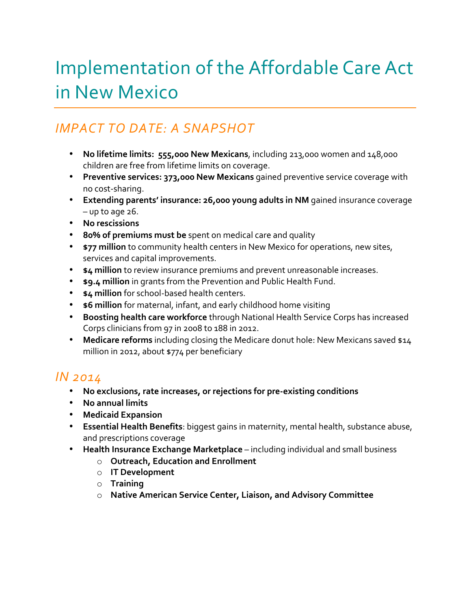# Implementation of the Affordable Care Act in New Mexico

## *IMPACT TO DATE: A SNAPSHOT*

- No lifetime limits: 555,000 New Mexicans, including 213,000 women and 148,000 children are free from lifetime limits on coverage.
- Preventive services: 373,000 New Mexicans gained preventive service coverage with no cost-sharing.
- Extending parents' insurance: 26,000 young adults in NM gained insurance coverage  $-$  up to age  $26$ .
- **No rescissions**
- 80% of premiums must be spent on medical care and quality
- **\$77 million** to community health centers in New Mexico for operations, new sites, services and capital improvements.
- **\$4 million** to review insurance premiums and prevent unreasonable increases.
- **• \$9.4 million** in grants from the Prevention and Public Health Fund.
- **\* \$4 million** for school-based health centers.
- **\$6 million** for maternal, infant, and early childhood home visiting
- Boosting health care workforce through National Health Service Corps has increased Corps clinicians from 97 in 2008 to 188 in 2012.
- Medicare reforms including closing the Medicare donut hole: New Mexicans saved \$14 million in 2012, about \$774 per beneficiary

### *IN 2014*

- No exclusions, rate increases, or rejections for pre-existing conditions
- **No annual limits**
- **Medicaid Expansion**
- **Essential Health Benefits**: biggest gains in maternity, mental health, substance abuse, and prescriptions coverage
- Health Insurance Exchange Marketplace including individual and small business
	- o **Outreach, Education and Enrollment**
	- o **IT Development**
	- o **Training**
	- o **Native American Service Center, Liaison, and Advisory Committee**